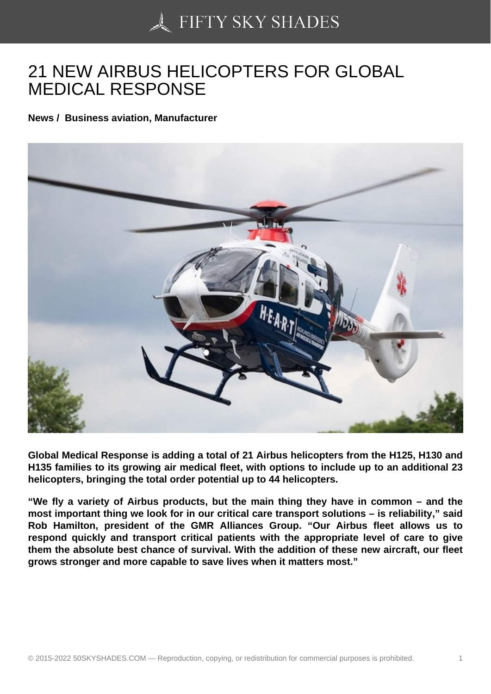## [21 NEW AIRBUS HELI](https://50skyshades.com)COPTERS FOR GLOBAL MEDICAL RESPONSE

News / Business aviation, Manufacturer

Global Medical Response is adding a total of 21 Airbus helicopters from the H125, H130 and H135 families to its growing air medical fleet, with options to include up to an additional 23 helicopters, bringing the total order potential up to 44 helicopters.

"We fly a variety of Airbus products, but the main thing they have in common – and the most important thing we look for in our critical care transport solutions – is reliability," said Rob Hamilton, president of the GMR Alliances Group. "Our Airbus fleet allows us to respond quickly and transport critical patients with the appropriate level of care to give them the absolute best chance of survival. With the addition of these new aircraft, our fleet grows stronger and more capable to save lives when it matters most."